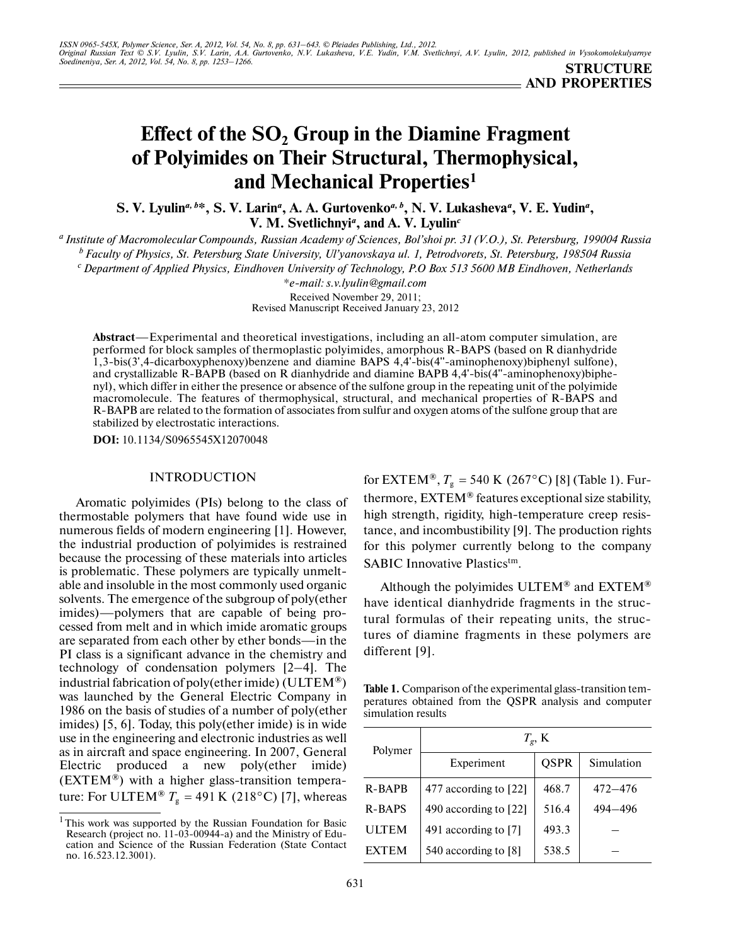# **Effect of the SO<sub>2</sub> Group in the Diamine Fragment of Polyimides on Their Structural, Thermophysical, and Mechanical Properties1**

S. V. Lyulin<sup>a, b\*</sup>, S. V. Larin<sup>a</sup>, A. A. Gurtovenko<sup>a, b</sup>, N. V. Lukasheva<sup>a</sup>, V. E. Yudin<sup>a</sup>, **V. M. Svetlichnyi***<sup>a</sup>* **, and A. V. Lyulin***<sup>c</sup>*

*a Institute of Macromolecular Compounds, Russian Academy of Sciences, Bol'shoi pr. 31 (V.O.), St. Petersburg, 199004 Russia b Faculty of Physics, St. Petersburg State University, Ul'yanovskaya ul. 1, Petrodvorets, St. Petersburg, 198504 Russia c Department of Applied Physics, Eindhoven University of Technology, P.O Box 513 5600 MB Eindhoven, Netherlands*

> *\*e-mail: s.v.lyulin@gmail.com* Received November 29, 2011; Revised Manuscript Received January 23, 2012

**Abstract**—Experimental and theoretical investigations, including an all-atom computer simulation, are performed for block samples of thermoplastic polyimides, amorphous R-BAPS (based on R dianhydride 1,3-bis(3',4-dicarboxyphenoxy)benzene and diamine BAPS 4,4'-bis(4''-aminophenoxy)biphenyl sulfone), and crystallizable R-BAPB (based on R dianhydride and diamine BAPB 4,4'-bis(4''-aminophenoxy)biphe nyl), which differ in either the presence or absence of the sulfone group in the repeating unit of the polyimide macromolecule. The features of thermophysical, structural, and mechanical properties of R-BAPS and R-BAPB are related to the formation of associates from sulfur and oxygen atoms of the sulfone group that are stabilized by electrostatic interactions.

**DOI:** 10.1134/S0965545X12070048

## INTRODUCTION

Aromatic polyimides (PIs) belong to the class of thermostable polymers that have found wide use in numerous fields of modern engineering [1]. However, the industrial production of polyimides is restrained because the processing of these materials into articles is problematic. These polymers are typically unmelt able and insoluble in the most commonly used organic solvents. The emergence of the subgroup of poly(ether imides)—polymers that are capable of being pro cessed from melt and in which imide aromatic groups are separated from each other by ether bonds—in the PI class is a significant advance in the chemistry and technology of condensation polymers [2–4]. The industrial fabrication of poly(ether imide) (ULTEM<sup>®</sup>) was launched by the General Electric Company in 1986 on the basis of studies of a number of poly(ether imides) [5, 6]. Today, this poly(ether imide) is in wide use in the engineering and electronic industries as well as in aircraft and space engineering. In 2007, General Electric produced a new poly(ether imide) (EXTEM®) with a higher glass-transition tempera ture: For ULTEM<sup>®</sup>  $T_g = 491$  K (218°C) [7], whereas

for EXTEM<sup>®</sup>,  $T_{\rm g}$  = 540 K (267°C) [8] (Table 1). Furthermore, EXTEM® features exceptional size stability, high strength, rigidity, high-temperature creep resis tance, and incombustibility [9]. The production rights for this polymer currently belong to the company SABIC Innovative Plastics<sup>tm</sup>.

Although the polyimides ULTEM® and EXTEM® have identical dianhydride fragments in the struc tural formulas of their repeating units, the struc tures of diamine fragments in these polymers are different [9].

**Table 1.** Comparison of the experimental glass-transition tem peratures obtained from the QSPR analysis and computer simulation results

| Polymer       | $T_g$ , K             |             |            |  |  |  |  |  |  |
|---------------|-----------------------|-------------|------------|--|--|--|--|--|--|
|               | Experiment            | <b>OSPR</b> | Simulation |  |  |  |  |  |  |
| R-BAPB        | 477 according to [22] | 468.7       | 472–476    |  |  |  |  |  |  |
| <b>R-BAPS</b> | 490 according to [22] | 516.4       | 494–496    |  |  |  |  |  |  |
| ULTEM         | 491 according to [7]  | 493.3       |            |  |  |  |  |  |  |
| <b>EXTEM</b>  | 540 according to [8]  | 538.5       |            |  |  |  |  |  |  |

 $1$ This work was supported by the Russian Foundation for Basic Research (project no. 11-03-00944-a) and the Ministry of Edu cation and Science of the Russian Federation (State Contact no. 16.523.12.3001).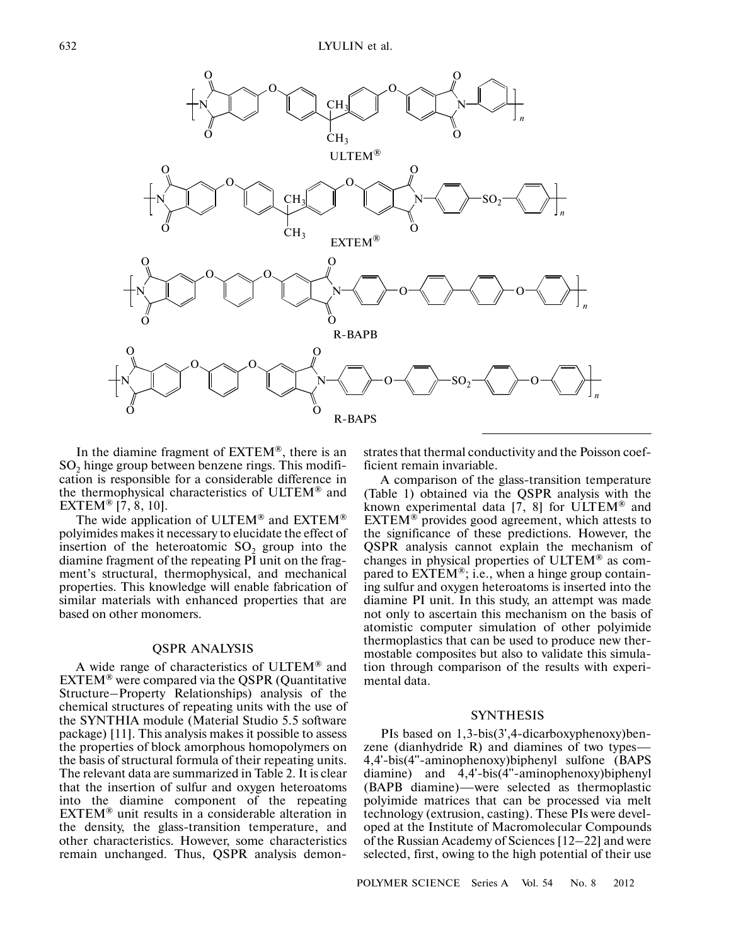

In the diamine fragment of EXTEM®, there is an  $SO<sub>2</sub>$  hinge group between benzene rings. This modification is responsible for a considerable difference in the thermophysical characteristics of ULTEM® and EXTEM® [7, 8, 10].

The wide application of ULTEM® and EXTEM® polyimides makes it necessary to elucidate the effect of insertion of the heteroatomic  $SO<sub>2</sub>$  group into the diamine fragment of the repeating PI unit on the frag ment's structural, thermophysical, and mechanical properties. This knowledge will enable fabrication of similar materials with enhanced properties that are based on other monomers.

### QSPR ANALYSIS

A wide range of characteristics of ULTEM® and EXTEM® were compared via the QSPR (Quantitative Structure–Property Relationships) analysis of the chemical structures of repeating units with the use of the SYNTHIA module (Material Studio 5.5 software package) [11]. This analysis makes it possible to assess the properties of block amorphous homopolymers on the basis of structural formula of their repeating units. The relevant data are summarized in Table 2. It is clear that the insertion of sulfur and oxygen heteroatoms into the diamine component of the repeating EXTEM® unit results in a considerable alteration in the density, the glass-transition temperature, and other characteristics. However, some characteristics remain unchanged. Thus, QSPR analysis demon-

strates that thermal conductivity and the Poisson coef ficient remain invariable.

A comparison of the glass-transition temperature (Table 1) obtained via the QSPR analysis with the known experimental data [7, 8] for ULTEM® and EXTEM® provides good agreement, which attests to the significance of these predictions. However, the QSPR analysis cannot explain the mechanism of changes in physical properties of ULTEM® as com pared to  $\overline{EXTEM}^{\otimes}$ ; i.e., when a hinge group containing sulfur and oxygen heteroatoms is inserted into the diamine PI unit. In this study, an attempt was made not only to ascertain this mechanism on the basis of atomistic computer simulation of other polyimide thermoplastics that can be used to produce new ther mostable composites but also to validate this simula tion through comparison of the results with experi mental data.

#### SYNTHESIS

PIs based on 1,3-bis(3',4-dicarboxyphenoxy)benzene (dianhydride R) and diamines of two types— 4,4'-bis(4''-aminophenoxy)biphenyl sulfone (BAPS diamine) and 4,4'-bis(4''-aminophenoxy)biphenyl (BAPB diamine)—were selected as thermoplastic polyimide matrices that can be processed via melt technology (extrusion, casting). These PIs were devel oped at the Institute of Macromolecular Compounds of the Russian Academy of Sciences [12–22] and were selected, first, owing to the high potential of their use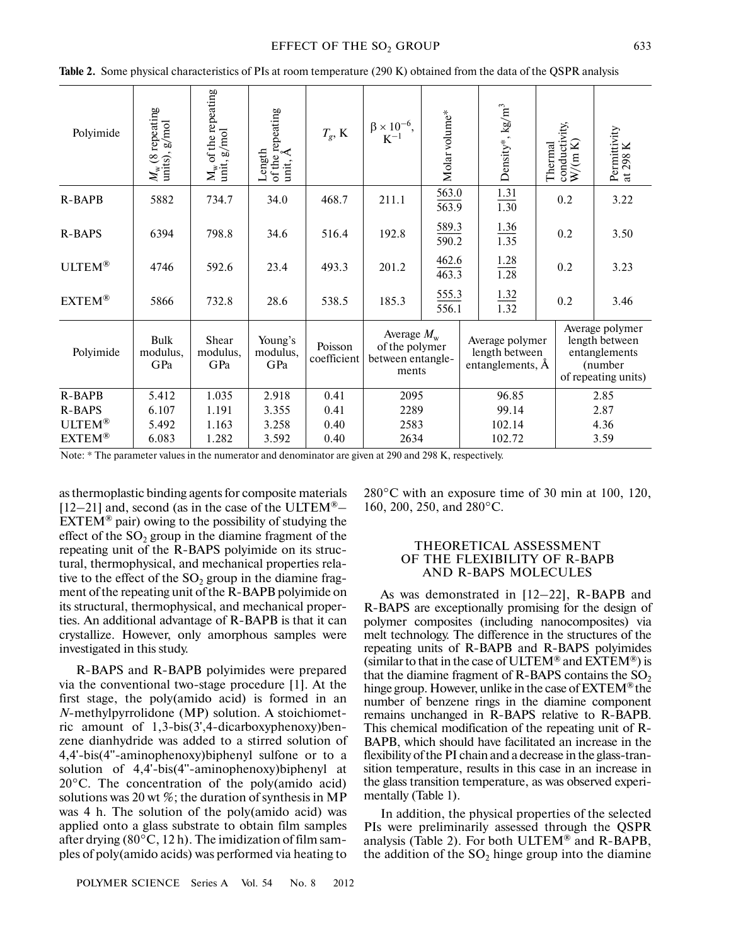#### EFFECT OF THE SO<sub>2</sub> GROUP 633

| Polyimide     | $M_{\rm w}$ (8 repeating units), g/mol | $M_w$ of the repeating<br>unit, g/mol | of the repeating<br>unit, Å<br>Length | $T_g$ , K              | $\label{eq:beta} \begin{array}{c} \beta \times 10^{-6}, \\ K^{-1} \end{array}$ | Molar volume*  |        | Density*, $\text{kg/m}^3$                                 | Thermal | conductivity,<br>$W/(m K)$ | Permittivity<br>Κ<br>at 298                                                          |
|---------------|----------------------------------------|---------------------------------------|---------------------------------------|------------------------|--------------------------------------------------------------------------------|----------------|--------|-----------------------------------------------------------|---------|----------------------------|--------------------------------------------------------------------------------------|
| <b>R-BAPB</b> | 5882                                   | 734.7                                 | 34.0                                  | 468.7                  | 211.1                                                                          | 563.0<br>563.9 |        | 1.31<br>1.30                                              |         | 0.2                        | 3.22                                                                                 |
| <b>R-BAPS</b> | 6394                                   | 798.8                                 | 34.6                                  | 516.4                  | 192.8                                                                          | 589.3<br>590.2 |        | 1.36<br>1.35                                              |         | 0.2                        | 3.50                                                                                 |
| ULTEM®        | 4746                                   | 592.6                                 | 23.4                                  | 493.3                  | 201.2                                                                          | 462.6<br>463.3 |        | $\frac{1.28}{1.28}$                                       |         | 0.2                        | 3.23                                                                                 |
| EXTEM®        | 5866                                   | 732.8                                 | 28.6                                  | 538.5                  | 185.3                                                                          | 555.3<br>556.1 |        | 1.32<br>1.32                                              |         | 0.2                        | 3.46                                                                                 |
| Polyimide     | <b>Bulk</b><br>modulus,<br>GPa         | Shear<br>modulus,<br>GPa              | Young's<br>modulus,<br>GPa            | Poisson<br>coefficient | Average $M_{\rm w}$<br>of the polymer<br>between entangle-<br>ments            |                |        | Average polymer<br>length between<br>entanglements, $\AA$ |         |                            | Average polymer<br>length between<br>entanglements<br>(number<br>of repeating units) |
| <b>R-BAPB</b> | 5.412                                  | 1.035                                 | 2.918                                 | 0.41                   | 2095                                                                           |                |        | 96.85                                                     |         |                            | 2.85                                                                                 |
| <b>R-BAPS</b> | 6.107                                  | 1.191                                 | 3.355                                 | 0.41                   | 2289                                                                           |                |        | 99.14                                                     |         |                            | 2.87                                                                                 |
| ULTEM®        | 5.492                                  | 1.163                                 | 3.258                                 | 0.40                   | 2583                                                                           |                | 102.14 |                                                           |         |                            | 4.36                                                                                 |
| EXTEM®        | 6.083                                  | 1.282                                 | 3.592                                 | 0.40                   | 2634                                                                           |                |        | 102.72                                                    |         |                            | 3.59                                                                                 |
|               |                                        |                                       |                                       |                        |                                                                                |                |        |                                                           |         |                            |                                                                                      |

**Table 2.** Some physical characteristics of PIs at room temperature (290 K) obtained from the data of the QSPR analysis

Note: \* The parameter values in the numerator and denominator are given at 290 and 298 K, respectively.

as thermoplastic binding agents for composite materials  $[12-21]$  and, second (as in the case of the ULTEM<sup>®</sup>–  $EXTEM^{\circledR}$  pair) owing to the possibility of studying the effect of the  $SO<sub>2</sub>$  group in the diamine fragment of the repeating unit of the R-BAPS polyimide on its struc tural, thermophysical, and mechanical properties rela tive to the effect of the  $SO_2$  group in the diamine fragment of the repeating unit of the R-BAPB polyimide on its structural, thermophysical, and mechanical proper ties. An additional advantage of R-BAPB is that it can crystallize. However, only amorphous samples were investigated in this study.

R-BAPS and R-BAPB polyimides were prepared via the conventional two-stage procedure [1]. At the first stage, the poly(amido acid) is formed in an *N*-methylpyrrolidone (MP) solution. A stoichiomet ric amount of 1,3-bis(3',4-dicarboxyphenoxy)ben zene dianhydride was added to a stirred solution of 4,4'-bis(4''-aminophenoxy)biphenyl sulfone or to a solution of 4,4'-bis(4''-aminophenoxy)biphenyl at 20°C. The concentration of the poly(amido acid) solutions was 20 wt  $\%$ ; the duration of synthesis in MP was 4 h. The solution of the poly(amido acid) was applied onto a glass substrate to obtain film samples after drying (80°C, 12 h). The imidization of film sam ples of poly(amido acids) was performed via heating to 280°C with an exposure time of 30 min at 100, 120, 160, 200, 250, and 280°C.

## THEORETICAL ASSESSMENT OF THE FLEXIBILITY OF R-BAPB AND R-BAPS MOLECULES

As was demonstrated in [12–22], R-BAPB and R-BAPS are exceptionally promising for the design of polymer composites (including nanocomposites) via melt technology. The difference in the structures of the repeating units of R-BAPB and R-BAPS polyimides (similar to that in the case of ULTEM® and  $EXTEM^@$ ) is that the diamine fragment of R-BAPS contains the  $SO_2$ hinge group. However, unlike in the case of EXTEM® the number of benzene rings in the diamine component remains unchanged in R-BAPS relative to R-BAPB. This chemical modification of the repeating unit of R- BAPB, which should have facilitated an increase in the flexibility of the PI chain and a decrease in the glass-tran sition temperature, results in this case in an increase in the glass transition temperature, as was observed experi mentally (Table 1).

In addition, the physical properties of the selected PIs were preliminarily assessed through the QSPR analysis (Table 2). For both ULTEM® and R-BAPB, the addition of the  $SO_2$  hinge group into the diamine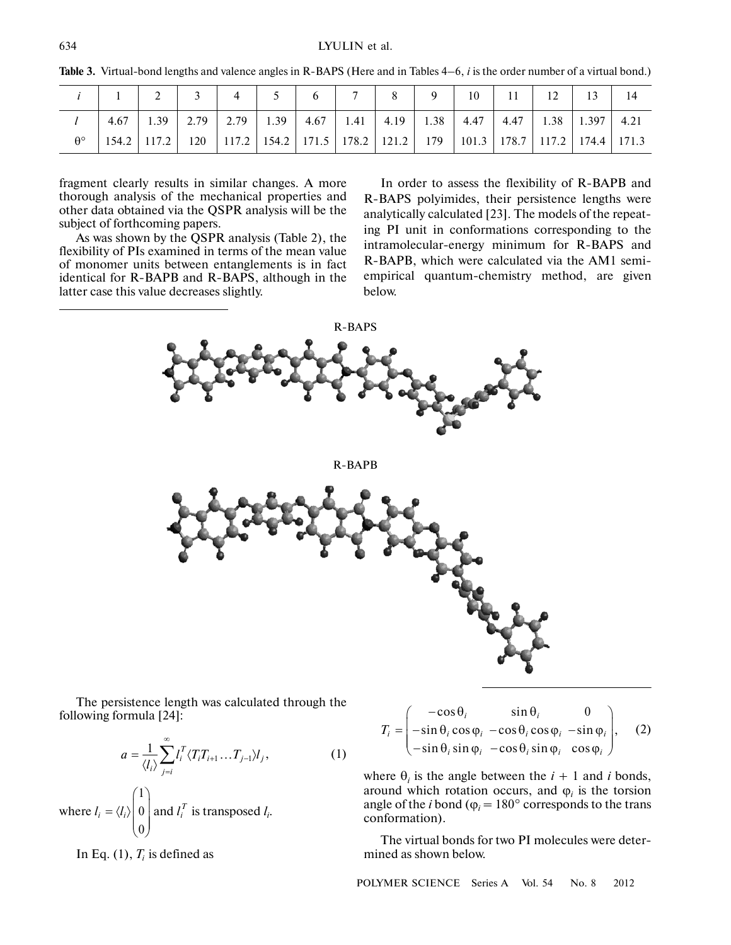|                  |      |               |      |           |                             |  | $\Omega$ | 10 |                                                                                           |  |      |
|------------------|------|---------------|------|-----------|-----------------------------|--|----------|----|-------------------------------------------------------------------------------------------|--|------|
|                  | 4.67 | 1.39          | 2.79 | 2.79 1.39 | $4.67$   1.41   4.19   1.38 |  |          |    | $\vert$ 4.47   4.47   1.38   1.397                                                        |  | 4.21 |
| $\theta^{\circ}$ |      | 154.2 117.2 1 |      |           |                             |  |          |    | 120   117.2   154.2   171.5   178.2   121.2   179   101.3   178.7   117.2   174.4   171.3 |  |      |

Table 3. Virtual-bond lengths and valence angles in R-BAPS (Here and in Tables 4–6, *i* is the order number of a virtual bond.)

fragment clearly results in similar changes. A more thorough analysis of the mechanical properties and other data obtained via the QSPR analysis will be the subject of forthcoming papers.

As was shown by the QSPR analysis (Table 2), the flexibility of PIs examined in terms of the mean value of monomer units between entanglements is in fact identical for R-BAPB and R-BAPS, although in the latter case this value decreases slightly.

In order to assess the flexibility of R-BAPB and R-BAPS polyimides, their persistence lengths were analytically calculated [23]. The models of the repeat ing PI unit in conformations corresponding to the intramolecular-energy minimum for R-BAPS and R-BAPB, which were calculated via the AM1 semi empirical quantum-chemistry method, are given below.

R-BAPS

R-BAPB



The persistence length was calculated through the following formula [24]:

$$
a = \frac{1}{\langle l_i \rangle} \sum_{j=i}^{\infty} l_i^T \langle T_i T_{i+1} \dots T_{j-1} \rangle l_j, \qquad (1)
$$

where 
$$
l_i = \langle l_i \rangle \begin{pmatrix} 1 \\ 0 \\ 0 \end{pmatrix}
$$
 and  $l_i^T$  is transposed  $l_i$ .

In Eq.  $(1)$ ,  $T<sub>i</sub>$  is defined as

$$
T_i = \begin{pmatrix} -\cos\theta_i & \sin\theta_i & 0\\ -\sin\theta_i\cos\varphi_i & -\cos\theta_i\cos\varphi_i & -\sin\varphi_i\\ -\sin\theta_i\sin\varphi_i & -\cos\theta_i\sin\varphi_i & \cos\varphi_i \end{pmatrix}, \quad (2)
$$

where  $\theta_i$  is the angle between the  $i + 1$  and *i* bonds, around which rotation occurs, and  $\varphi$ <sub>*i*</sub> is the torsion angle of the *i* bond ( $\varphi$ <sub>*i*</sub> = 180° corresponds to the trans conformation).

The virtual bonds for two PI molecules were deter mined as shown below.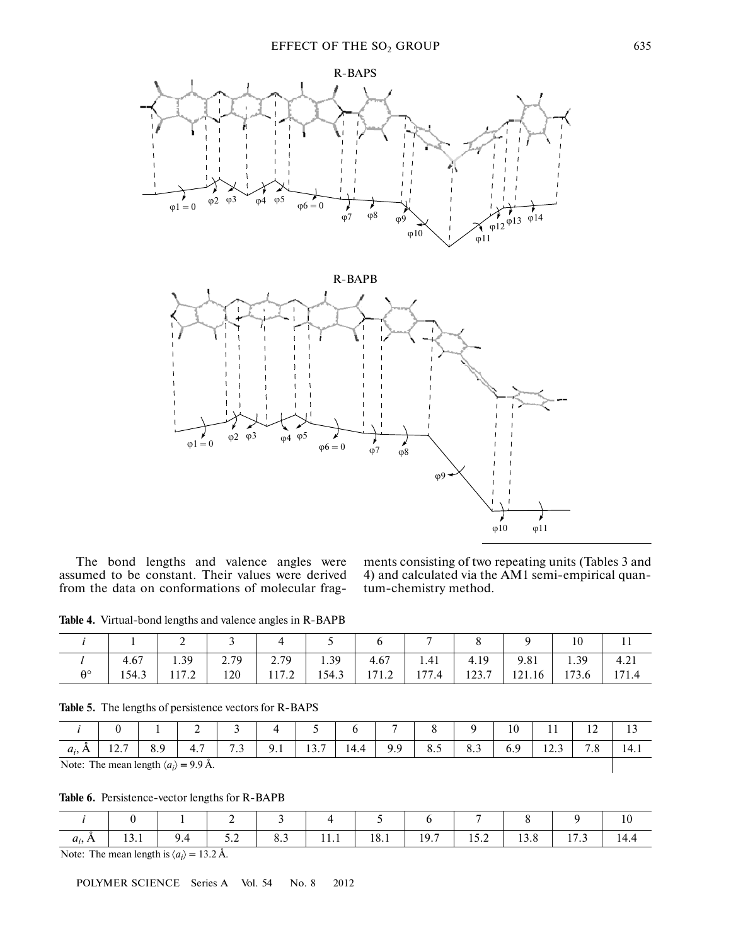

The bond lengths and valence angles were assumed to be constant. Their values were derived from the data on conformations of molecular fragments consisting of two repeating units (Tables 3 and 4) and calculated via the AM1 semi-empirical quan tum-chemistry method.

Table 4. Virtual-bond lengths and valence angles in R-BAPB

|             |       | ∼             |      |       | ັ     |       |       |       |          | 10    | . .   |
|-------------|-------|---------------|------|-------|-------|-------|-------|-------|----------|-------|-------|
|             | 4.67  | 1.39          | 2.79 | 2.79  | 1.39  | 4.67  | 1.41  | 4.19  | 9.81     | 1.39  | 4.21  |
| $A^{\circ}$ | 154.3 | 1172<br>111.2 | 120  | 117.2 | 154.3 | 171.2 | 177.4 | 123.7 | $121.16$ | 173.6 | 171.4 |

#### **Table 5.** The lengths of persistence vectors for R-BAPS

|          |                                                      |           | ∼                       |            |     |                    |      |     |                 |                        | 10  | . .    | 1 <sub>0</sub><br>$\overline{1}$ |      |
|----------|------------------------------------------------------|-----------|-------------------------|------------|-----|--------------------|------|-----|-----------------|------------------------|-----|--------|----------------------------------|------|
| $a_i, I$ | 127<br>1/2.1                                         | ΩQ<br>0.7 | . <del>. .</del><br>4.7 | 7.3<br>ر., | 9.1 | $\sqrt{2}$<br>13.7 | 14.4 | 9.9 | $\Omega$<br>0.5 | $\circ$ $\circ$<br>0.5 | 0.Y | ن که ۱ | $\overline{ }$<br>ه. ا           | 14.1 |
|          | Note: The mean length $\langle a_i \rangle$ = 9.9 Å. |           |                         |            |     |                    |      |     |                 |                        |     |        |                                  |      |

Table 6. Persistence-vector lengths for R-BAPB

| $a_i$        |                | 5.2                           | $\begin{array}{ c c c c c c c c } \hline \text{8.3} & \text{11.1} \hline \end{array}$ | $18.1$ 19.7 | 15.2 | 13.8 |  |
|--------------|----------------|-------------------------------|---------------------------------------------------------------------------------------|-------------|------|------|--|
| $\mathbf{v}$ | $\blacksquare$ | $\lambda$ $\lambda$ $\lambda$ |                                                                                       |             |      |      |  |

Note: The mean length is  $\langle a_i \rangle = 13.2$  Å.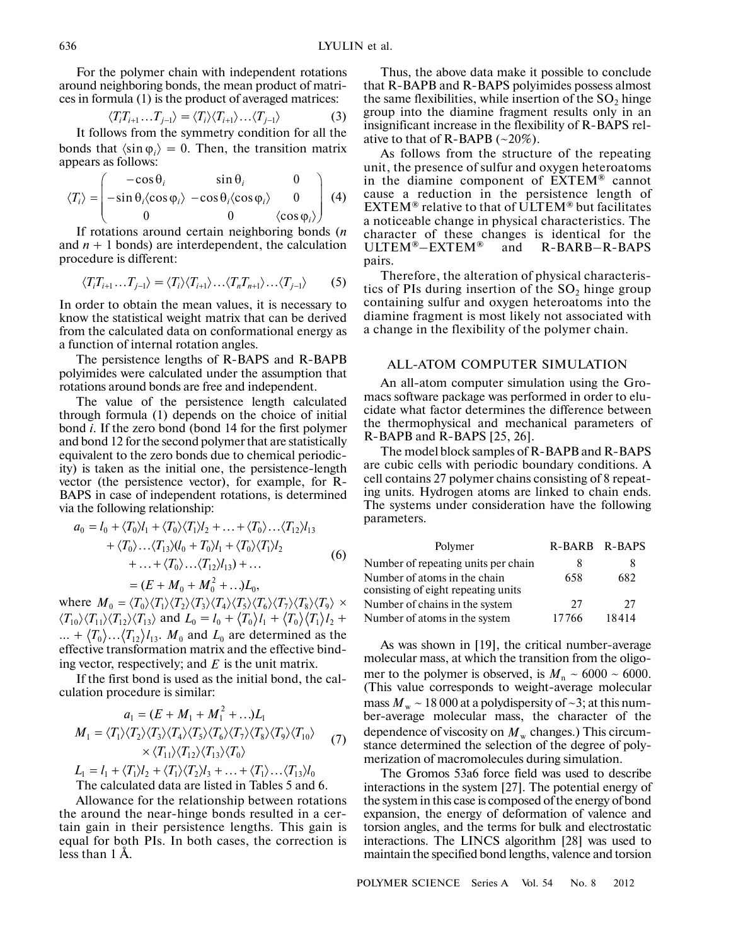For the polymer chain with independent rotations around neighboring bonds, the mean product of matri ces in formula (1) is the product of averaged matrices:

$$
\langle T_i T_{i+1} \dots T_{j-1} \rangle = \langle T_i \rangle \langle T_{i+1} \rangle \dots \langle T_{j-1} \rangle \tag{3}
$$

It follows from the symmetry condition for all the bonds that  $\langle \sin \varphi_i \rangle = 0$ . Then, the transition matrix appears as follows:

$$
\langle T_i \rangle = \begin{pmatrix} -\cos \theta_i & \sin \theta_i & 0 \\ -\sin \theta_i \langle \cos \phi_i \rangle & -\cos \theta_i \langle \cos \phi_i \rangle & 0 \\ 0 & 0 & \langle \cos \phi_i \rangle \end{pmatrix}
$$
 (4)

If rotations around certain neighboring bonds (*n* and  $n + 1$  bonds) are interdependent, the calculation procedure is different:

$$
\langle T_i T_{i+1} \dots T_{j-1} \rangle = \langle T_i \rangle \langle T_{i+1} \rangle \dots \langle T_n T_{n+1} \rangle \dots \langle T_{j-1} \rangle \tag{5}
$$

In order to obtain the mean values, it is necessary to know the statistical weight matrix that can be derived from the calculated data on conformational energy as a function of internal rotation angles.

The persistence lengths of R-BAPS and R-BAPB polyimides were calculated under the assumption that rotations around bonds are free and independent.

The value of the persistence length calculated through formula (1) depends on the choice of initial bond *i*. If the zero bond (bond 14 for the first polymer and bond 12 for the second polymer that are statistically equivalent to the zero bonds due to chemical periodic ity) is taken as the initial one, the persistence-length vector (the persistence vector), for example, for R- BAPS in case of independent rotations, is determined via the following relationship:<br>  $a_0 = I_0 + \langle T_0 \rangle I_1 + \langle T_0 \rangle \langle T_1 \rangle I_2 + \dots + \langle T_0 \rangle \langle T_1 \rangle$ 

$$
a_0 = l_0 + \langle T_0 \rangle l_1 + \langle T_0 \rangle \langle T_1 \rangle l_2 + \dots + \langle T_0 \rangle \dots \langle T_{12} \rangle l_{13} + \langle T_0 \rangle \dots \langle T_{13} \rangle (l_0 + T_0) l_1 + \langle T_0 \rangle \langle T_1 \rangle l_2 + \dots + \langle T_0 \rangle \dots \langle T_{12} \rangle l_{13}) + \dots = (E + M_0 + M_0^2 + \dots) L_0,
$$
 (6)

where  $M_0 = \langle T_0 \rangle \langle T_1 \rangle \langle T_2 \rangle \langle T_3 \rangle \langle T_4 \rangle \langle T_5 \rangle \langle T_6 \rangle \langle T_7 \rangle \langle T_8 \rangle \langle T_9 \rangle \times$  $\langle T_{10}\rangle\langle T_{11}\rangle\langle T_{12}\rangle\langle T_{13}\rangle$  and  $L_0 = l_0 + \langle T_0\rangle l_1 + \langle T_0\rangle\langle T_1\rangle l_2 +$  $... + \langle T_0 \rangle ... \langle T_{12} \rangle l_{13}$ .  $M_0$  and  $L_0$  are determined as the effective transformation matrix and the effective bind ing vector, respectively; and  $E$  is the unit matrix.

If the first bond is used as the initial bond, the cal culation procedure is similar:

$$
a_1 = (E + M_1 + M_1^2 + ...)L_1
$$
  
\n
$$
M_1 = \langle T_1 \rangle \langle T_2 \rangle \langle T_3 \rangle \langle T_4 \rangle \langle T_5 \rangle \langle T_6 \rangle \langle T_7 \rangle \langle T_8 \rangle \langle T_9 \rangle \langle T_{10} \rangle
$$
  
\n
$$
\times \langle T_{11} \rangle \langle T_{12} \rangle \langle T_{13} \rangle \langle T_0 \rangle
$$
  
\n
$$
I = I + \langle T \rangle I + \langle T \rangle \langle T \rangle I + \langle T \rangle \langle T \rangle I
$$
 (7)

The calculated data are listed in Tables 5 and 6.  $L_1 = l_1 + \langle T_1 \rangle l_2 + \langle T_1 \rangle \langle T_2 \rangle l_3 + \dots + \langle T_1 \rangle \dots \langle T_{13} \rangle l_0$ 

Allowance for the relationship between rotations the around the near-hinge bonds resulted in a cer tain gain in their persistence lengths. This gain is equal for both PIs. In both cases, the correction is less than 1 Å.

Thus, the above data make it possible to conclude that R-BAPB and R-BAPS polyimides possess almost the same flexibilities, while insertion of the  $SO<sub>2</sub>$  hinge group into the diamine fragment results only in an insignificant increase in the flexibility of R-BAPS rel ative to that of  $R$ -BAPB  $(-20\%)$ .

As follows from the structure of the repeating unit, the presence of sulfur and oxygen heteroatoms in the diamine component of EXTEM® cannot cause a reduction in the persistence length of EXTEM® relative to that of ULTEM® but facilitates a noticeable change in physical characteristics. The character of these changes is identical for the  $ULTEM^{\circledast}-EXTEM^{\circledast}$  and BARB–R-BAPS pairs.

Therefore, the alteration of physical characteris tics of PIs during insertion of the  $SO<sub>2</sub>$  hinge group containing sulfur and oxygen heteroatoms into the diamine fragment is most likely not associated with a change in the flexibility of the polymer chain.

## ALL-ATOM COMPUTER SIMULATION

An all-atom computer simulation using the Gro macs software package was performed in order to elu cidate what factor determines the difference between the thermophysical and mechanical parameters of R-BAPB and R-BAPS [25, 26].

The model block samples of R-BAPB and R-BAPS are cubic cells with periodic boundary conditions. A cell contains 27 polymer chains consisting of 8 repeat ing units. Hydrogen atoms are linked to chain ends. The systems under consideration have the following parameters.

| Polymer                                                             | R-BARB R-BAPS |       |
|---------------------------------------------------------------------|---------------|-------|
| Number of repeating units per chain                                 |               |       |
| Number of atoms in the chain<br>consisting of eight repeating units | 658           | 682   |
| Number of chains in the system                                      | 27            | 27    |
| Number of atoms in the system                                       | 17766         | 18414 |

As was shown in [19], the critical number-average molecular mass, at which the transition from the oligo mer to the polymer is observed, is  $M_n \sim 6000 \sim 6000$ . (This value corresponds to weight-average molecular mass  $M_{\rm w} \sim 18000$  at a polydispersity of  $\sim$ 3; at this number-average molecular mass, the character of the dependence of viscosity on  $M_{\rm w}$  changes.) This circumstance determined the selection of the degree of poly merization of macromolecules during simulation.

The Gromos 53a6 force field was used to describe interactions in the system [27]. The potential energy of the system in this case is composed of the energy of bond expansion, the energy of deformation of valence and torsion angles, and the terms for bulk and electrostatic interactions. The LINCS algorithm [28] was used to maintain the specified bond lengths, valence and torsion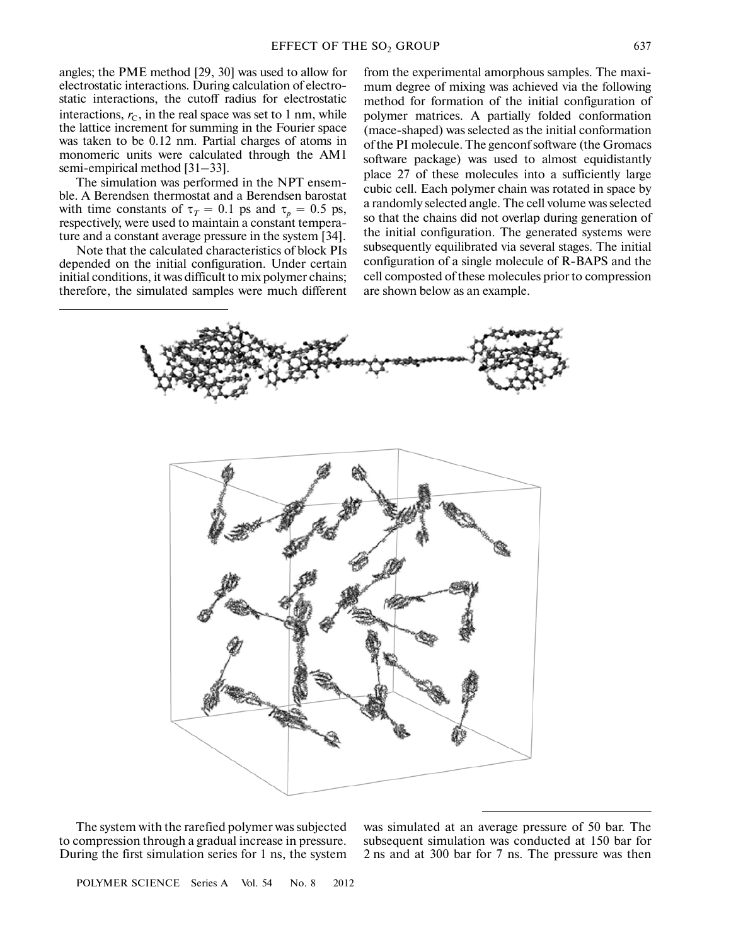angles; the PME method [29, 30] was used to allow for electrostatic interactions. During calculation of electro static interactions, the cutoff radius for electrostatic interactions,  $r<sub>C</sub>$ , in the real space was set to 1 nm, while the lattice increment for summing in the Fourier space was taken to be 0.12 nm. Partial charges of atoms in monomeric units were calculated through the AM1 semi-empirical method [31–33].

The simulation was performed in the NPT ensem ble. A Berendsen thermostat and a Berendsen barostat with time constants of  $\tau_T = 0.1$  ps and  $\tau_p = 0.5$  ps, respectively, were used to maintain a constant tempera ture and a constant average pressure in the system [34].

Note that the calculated characteristics of block PIs depended on the initial configuration. Under certain initial conditions, it was difficult to mix polymer chains; therefore, the simulated samples were much different

from the experimental amorphous samples. The maxi mum degree of mixing was achieved via the following method for formation of the initial configuration of polymer matrices. A partially folded conformation (mace-shaped) was selected as the initial conformation of the PI molecule. The genconf software (the Gromacs software package) was used to almost equidistantly place 27 of these molecules into a sufficiently large cubic cell. Each polymer chain was rotated in space by a randomly selected angle. The cell volume was selected so that the chains did not overlap during generation of the initial configuration. The generated systems were subsequently equilibrated via several stages. The initial configuration of a single molecule of R-BAPS and the cell composted of these molecules prior to compression are shown below as an example.



The system with the rarefied polymer was subjected to compression through a gradual increase in pressure. During the first simulation series for 1 ns, the system

was simulated at an average pressure of 50 bar. The subsequent simulation was conducted at 150 bar for 2 ns and at 300 bar for 7 ns. The pressure was then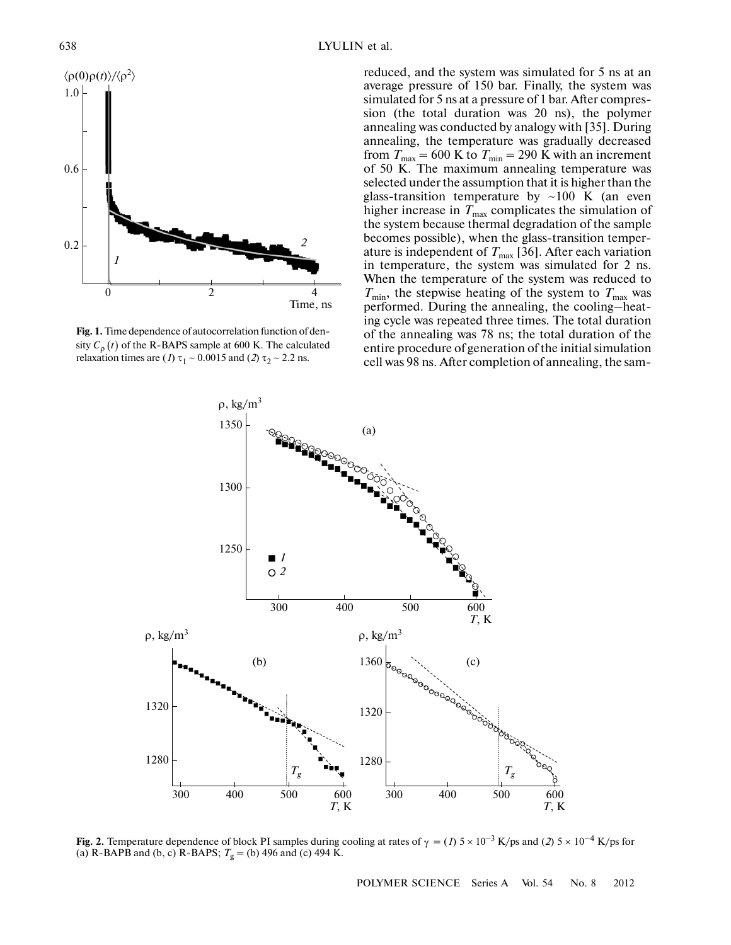

**Fig. 1.** Time dependence of autocorrelation function of den sity  $C_{\rho}(t)$  of the R-BAPS sample at 600 K. The calculated relaxation times are (*1*)  $\tau_1 \sim 0.0015$  and (*2*)  $\tau_2 \sim 2.2$  ns.

reduced, and the system was simulated for 5 ns at an average pressure of 150 bar. Finally, the system was simulated for 5 ns at a pressure of 1 bar. After compres sion (the total duration was 20 ns), the polymer annealing was conducted by analogy with [35]. During annealing, the temperature was gradually decreased from  $T_{\text{max}} = 600 \text{ K}$  to  $T_{\text{min}} = 290 \text{ K}$  with an increment of 50 K. The maximum annealing temperature was selected under the assumption that it is higher than the glass-transition temperature by ~100 K (an even higher increase in  $T_{\text{max}}$  complicates the simulation of the system because thermal degradation of the sample becomes possible), when the glass-transition temper ature is independent of  $T_{\text{max}}$  [36]. After each variation in temperature, the system was simulated for 2 ns. When the temperature of the system was reduced to  $T_{\text{min}}$ , the stepwise heating of the system to  $T_{\text{max}}$  was performed. During the annealing, the cooling–heat ing cycle was repeated three times. The total duration of the annealing was 78 ns; the total duration of the entire procedure of generation of the initial simulation cell was 98 ns. After completion of annealing, the sam-



(a) R-BAPB and (b, c) R-BAPS;  $T_g$  = (b) 496 and (c) 494 K.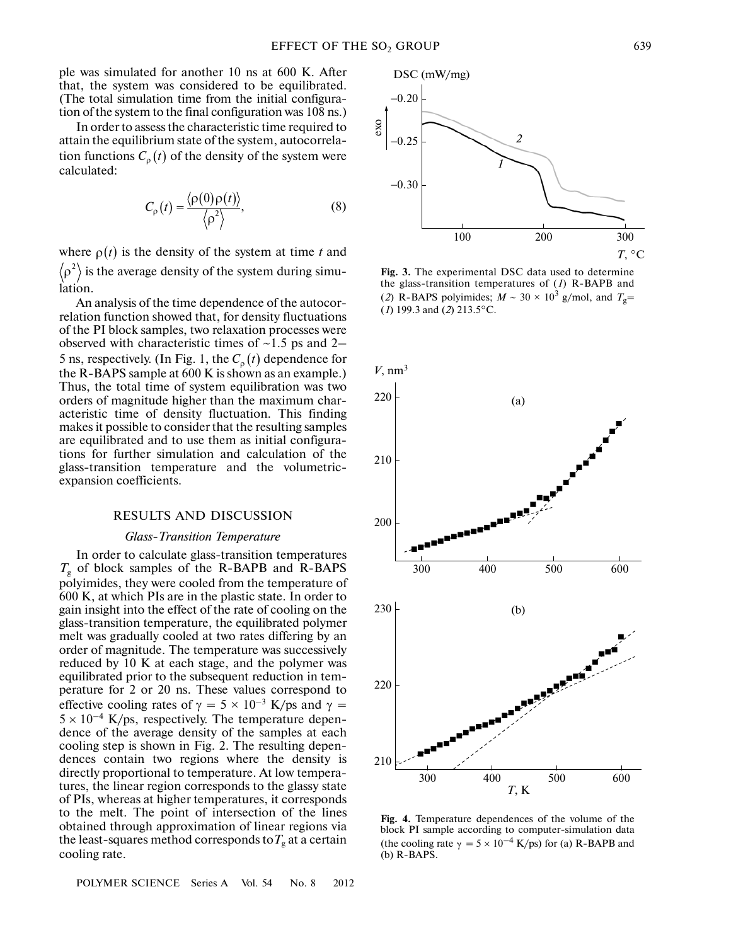ple was simulated for another 10 ns at 600 K. After that, the system was considered to be equilibrated. (The total simulation time from the initial configura tion of the system to the final configuration was 108 ns.)

In order to assess the characteristic time required to attain the equilibrium state of the system, autocorrela tion functions  $C_{\rho}(t)$  of the density of the system were calculated:

$$
C_{\rho}(t) = \frac{\langle \rho(0)\rho(t) \rangle}{\langle \rho^2 \rangle},
$$
 (8)

where  $\rho(t)$  is the density of the system at time *t* and  $\rho^2$  is the average density of the system during simulation.

An analysis of the time dependence of the autocor relation function showed that, for density fluctuations of the PI block samples, two relaxation processes were observed with characteristic times of  $\sim$ 1.5 ps and 2– 5 ns, respectively. (In Fig. 1, the  $C_{\rho}(t)$  dependence for the R-BAPS sample at 600 K is shown as an example.) Thus, the total time of system equilibration was two orders of magnitude higher than the maximum char acteristic time of density fluctuation. This finding makes it possible to consider that the resulting samples are equilibrated and to use them as initial configura tions for further simulation and calculation of the glass-transition temperature and the volumetric expansion coefficients.

#### RESULTS AND DISCUSSION

## *Glass-Transition Temperature*

In order to calculate glass-transition temperatures  $T_{\rm g}$  of block samples of the R-BAPB and R-BAPS polyimides, they were cooled from the temperature of 600 K, at which PIs are in the plastic state. In order to gain insight into the effect of the rate of cooling on the glass-transition temperature, the equilibrated polymer melt was gradually cooled at two rates differing by an order of magnitude. The temperature was successively reduced by 10 K at each stage, and the polymer was equilibrated prior to the subsequent reduction in tem perature for 2 or 20 ns. These values correspond to effective cooling rates of  $\gamma = 5 \times 10^{-3}$  K/ps and  $\gamma =$  $5 \times 10^{-4}$  K/ps, respectively. The temperature dependence of the average density of the samples at each cooling step is shown in Fig. 2. The resulting depen dences contain two regions where the density is directly proportional to temperature. At low tempera tures, the linear region corresponds to the glassy state of PIs, whereas at higher temperatures, it corresponds to the melt. The point of intersection of the lines obtained through approximation of linear regions via the least-squares method corresponds to  $T_{\rm g}$  at a certain cooling rate.



**Fig. 3.** The experimental DSC data used to determine the glass-transition temperatures of (*1*) R-BAPB and (2) R-BAPS polyimides;  $M \sim 30 \times 10^3$  g/mol, and  $T_g$ = (*1*) 199.3 and (*2*) 213.5°C.



**Fig. 4.** Temperature dependences of the volume of the block PI sample according to computer-simulation data (the cooling rate  $\gamma = 5 \times 10^{-4}$  K/ps) for (a) R-BAPB and (b) R-BAPS.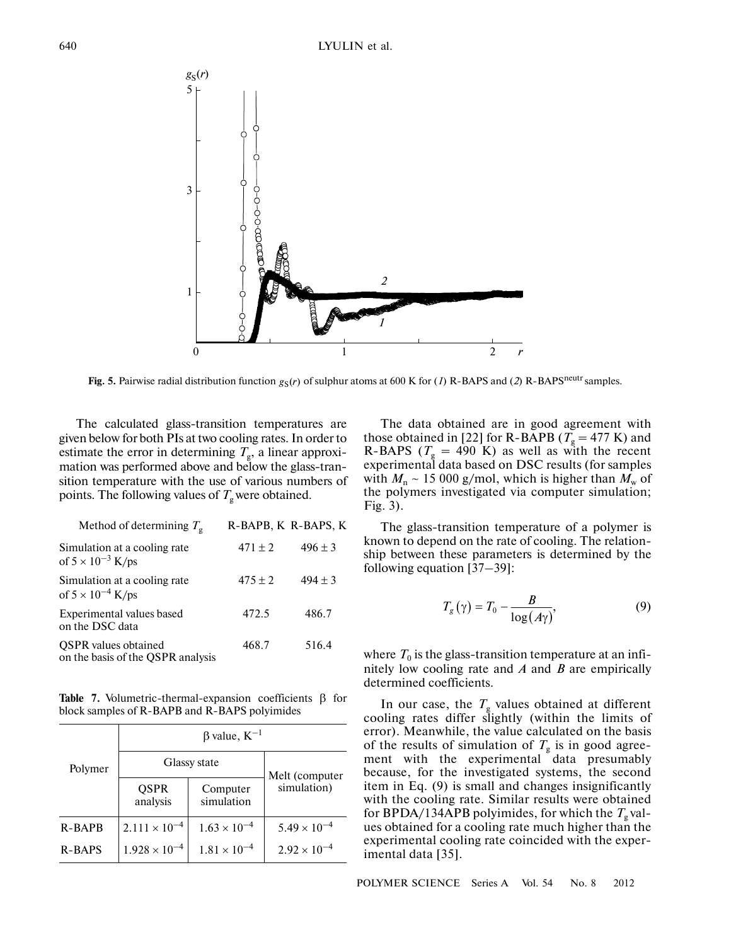

Fig. 5. Pairwise radial distribution function  $g_S(r)$  of sulphur atoms at 600 K for (1) R-BAPS and (2) R-BAPS<sup>neutr</sup> samples.

The calculated glass-transition temperatures are given below for both PIs at two cooling rates. In order to estimate the error in determining  $T_{\rm g}$ , a linear approximation was performed above and below the glass-tran sition temperature with the use of various numbers of points. The following values of  $T_{\rm g}$  were obtained.

| Method of determining $T_g$                                      | R-BAPB, K R-BAPS, K |             |
|------------------------------------------------------------------|---------------------|-------------|
| Simulation at a cooling rate<br>of $5 \times 10^{-3}$ K/ps       | $471 \pm 2$         | $496 \pm 3$ |
| Simulation at a cooling rate<br>of $5 \times 10^{-4}$ K/ps       | $475 \pm 2$         | $494 \pm 3$ |
| Experimental values based<br>on the DSC data                     | 472.5               | 486.7       |
| <b>OSPR</b> values obtained<br>on the basis of the QSPR analysis | 468.7               | 516.4       |

**Table 7.** Volumetric-thermal-expansion coefficients β for block samples of R-BAPB and R-BAPS polyimides

| Polymer       | $\beta$ value, $K^{-1}$ |                        |                       |  |  |  |  |  |  |
|---------------|-------------------------|------------------------|-----------------------|--|--|--|--|--|--|
|               | Glassy state            | Melt (computer         |                       |  |  |  |  |  |  |
|               | <b>QSPR</b><br>analysis | Computer<br>simulation | simulation)           |  |  |  |  |  |  |
| <b>R-BAPB</b> | $2.111 \times 10^{-4}$  | $1.63 \times 10^{-4}$  | $5.49 \times 10^{-4}$ |  |  |  |  |  |  |
| <b>R-BAPS</b> | $1.928 \times 10^{-4}$  | $1.81 \times 10^{-4}$  | $2.92 \times 10^{-4}$ |  |  |  |  |  |  |

The data obtained are in good agreement with those obtained in [22] for R-BAPB ( $T_{\rm g}$  = 477 K) and R-BAPS ( $T<sub>g</sub> = 490$  K) as well as with the recent experimental data based on DSC results (for samples with  $M_n \sim 15000$  g/mol, which is higher than  $M_w$  of the polymers investigated via computer simulation; Fig. 3).

The glass-transition temperature of a polymer is known to depend on the rate of cooling. The relation ship between these parameters is determined by the following equation [37–39]:

$$
T_g(\gamma) = T_0 - \frac{B}{\log(A\gamma)},\tag{9}
$$

where  $T_0$  is the glass-transition temperature at an infinitely low cooling rate and *A* and *B* are empirically determined coefficients.

In our case, the  $T_g$  values obtained at different cooling rates differ slightly (within the limits of error). Meanwhile, the value calculated on the basis of the results of simulation of  $T_g$  is in good agreement with the experimental data presumably because, for the investigated systems, the second item in Eq. (9) is small and changes insignificantly with the cooling rate. Similar results were obtained for BPDA/134APB polyimides, for which the  $T_{\rm g}$  values obtained for a cooling rate much higher than the experimental cooling rate coincided with the exper imental data [35].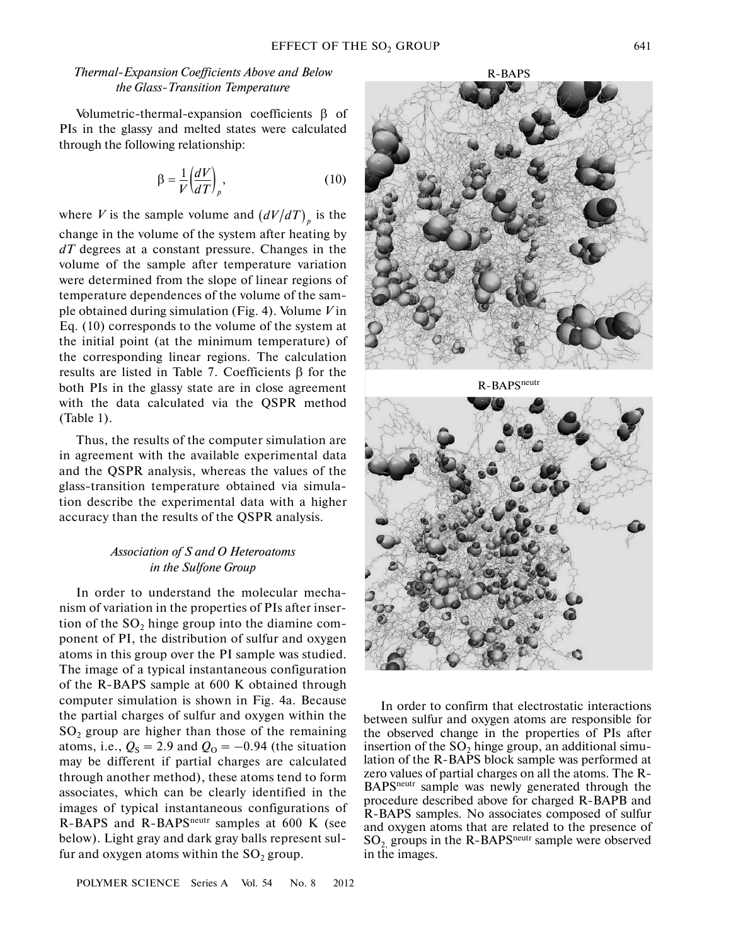# *Thermal-Expansion Coefficients Above and Below the Glass-Transition Temperature*

Volumetric-thermal-expansion coefficients  $\beta$  of PIs in the glassy and melted states were calculated through the following relationship:

$$
\beta = \frac{1}{V} \left( \frac{dV}{dT} \right)_p, \tag{10}
$$

where *V* is the sample volume and  $\left(\frac{dV}{dT}\right)_p$  is the change in the volume of the system after heating by *dT* degrees at a constant pressure. Changes in the volume of the sample after temperature variation were determined from the slope of linear regions of temperature dependences of the volume of the sam ple obtained during simulation (Fig. 4). Volume *V* in Eq. (10) corresponds to the volume of the system at the initial point (at the minimum temperature) of the corresponding linear regions. The calculation results are listed in Table 7. Coefficients β for the both PIs in the glassy state are in close agreement with the data calculated via the QSPR method (Table 1).

Thus, the results of the computer simulation are in agreement with the available experimental data and the QSPR analysis, whereas the values of the glass-transition temperature obtained via simula tion describe the experimental data with a higher accuracy than the results of the QSPR analysis.

# *Association of S and O Heteroatoms in the Sulfone Group*

In order to understand the molecular mecha nism of variation in the properties of PIs after inser tion of the  $SO_2$  hinge group into the diamine component of PI, the distribution of sulfur and oxygen atoms in this group over the PI sample was studied. The image of a typical instantaneous configuration of the R-BAPS sample at 600 K obtained through computer simulation is shown in Fig. 4a. Because the partial charges of sulfur and oxygen within the  $SO<sub>2</sub>$  group are higher than those of the remaining atoms, i.e.,  $Q_S = 2.9$  and  $Q_O = -0.94$  (the situation may be different if partial charges are calculated through another method), these atoms tend to form associates, which can be clearly identified in the images of typical instantaneous configurations of R-BAPS and R-BAPS<sup>neutr</sup> samples at 600 K (see below). Light gray and dark gray balls represent sul fur and oxygen atoms within the  $SO_2$  group.



In order to confirm that electrostatic interactions between sulfur and oxygen atoms are responsible for the observed change in the properties of PIs after insertion of the  $SO_2$  hinge group, an additional simulation of the R-BAPS block sample was performed at zero values of partial charges on all the atoms. The R- BAPSneutr sample was newly generated through the procedure described above for charged R-BAPB and R-BAPS samples. No associates composed of sulfur and oxygen atoms that are related to the presence of  $SO_2$  groups in the R-BAPS<sup>neutr</sup> sample were observed in the images.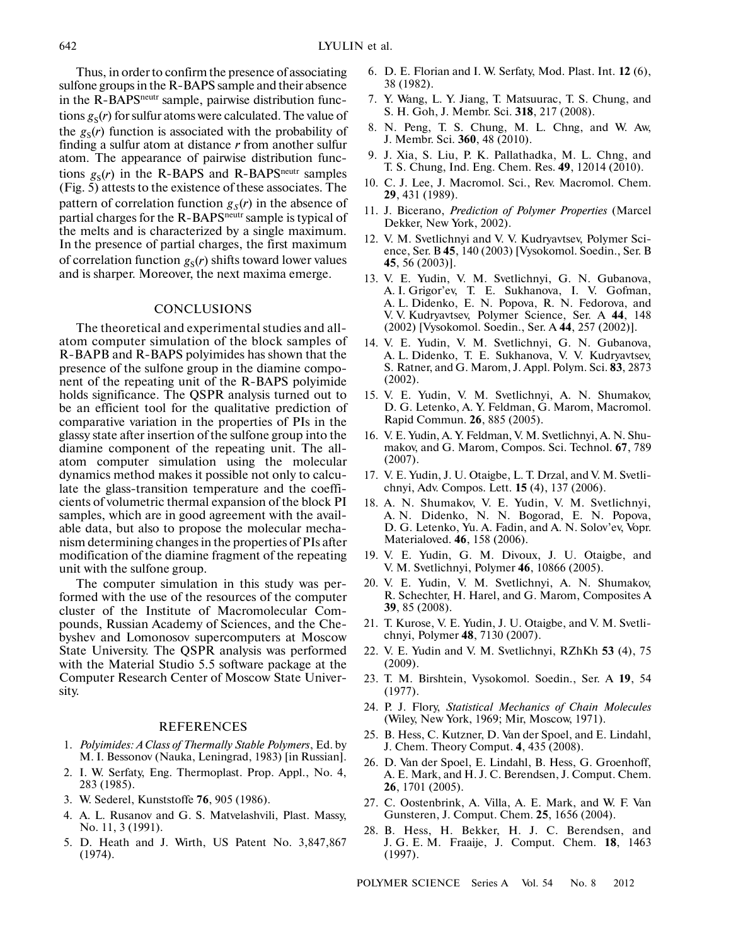642

Thus, in order to confirm the presence of associating sulfone groups in the R-BAPS sample and their absence in the R-BAPS<sup>neutr</sup> sample, pairwise distribution functions  $g_S(r)$  for sulfur atoms were calculated. The value of the  $g_S(r)$  function is associated with the probability of finding a sulfur atom at distance *r* from another sulfur atom. The appearance of pairwise distribution func tions  $g_S(r)$  in the R-BAPS and R-BAPS<sup>neutr</sup> samples (Fig. 5) attests to the existence of these associates. The pattern of correlation function  $g_S(r)$  in the absence of partial charges for the R-BAPS<sup>neutr</sup> sample is typical of the melts and is characterized by a single maximum. In the presence of partial charges, the first maximum of correlation function  $g_S(r)$  shifts toward lower values and is sharper. Moreover, the next maxima emerge.

## **CONCLUSIONS**

The theoretical and experimental studies and all atom computer simulation of the block samples of R-BAPB and R-BAPS polyimides has shown that the presence of the sulfone group in the diamine compo nent of the repeating unit of the R-BAPS polyimide holds significance. The QSPR analysis turned out to be an efficient tool for the qualitative prediction of comparative variation in the properties of PIs in the glassy state after insertion of the sulfone group into the diamine component of the repeating unit. The all atom computer simulation using the molecular dynamics method makes it possible not only to calcu late the glass-transition temperature and the coeffi cients of volumetric thermal expansion of the block PI samples, which are in good agreement with the avail able data, but also to propose the molecular mecha nism determining changes in the properties of PIs after modification of the diamine fragment of the repeating unit with the sulfone group.

The computer simulation in this study was per formed with the use of the resources of the computer cluster of the Institute of Macromolecular Com pounds, Russian Academy of Sciences, and the Che byshev and Lomonosov supercomputers at Moscow State University. The QSPR analysis was performed with the Material Studio 5.5 software package at the Computer Research Center of Moscow State Univer sity.

#### REFERENCES

- 1. *Polyimides: A Class of Thermally Stable Polymers*, Ed. by M. I. Bessonov (Nauka, Leningrad, 1983) [in Russian].
- 2. I. W. Serfaty, Eng. Thermoplast. Prop. Appl., No. 4, 283 (1985).
- 3. W. Sederel, Kunststoffe **76**, 905 (1986).
- 4. A. L. Rusanov and G. S. Matvelashvili, Plast. Massy, No. 11, 3 (1991).
- 5. D. Heath and J. Wirth, US Patent No. 3,847,867 (1974).
- 6. D. E. Florian and I. W. Serfaty, Mod. Plast. Int. **12** (6), 38 (1982).
- 7. Y. Wang, L. Y. Jiang, T. Matsuurac, T. S. Chung, and S. H. Goh, J. Membr. Sci. **318**, 217 (2008).
- 8. N. Peng, T. S. Chung, M. L. Chng, and W. Aw, J. Membr. Sci. **360**, 48 (2010).
- 9. J. Xia, S. Liu, P. K. Pallathadka, M. L. Chng, and T. S. Chung, Ind. Eng. Chem. Res. **49**, 12014 (2010).
- 10. C. J. Lee, J. Macromol. Sci., Rev. Macromol. Chem. **29**, 431 (1989).
- 11. J. Bicerano, *Prediction of Polymer Properties* (Marcel Dekker, New York, 2002).
- 12. V. M. Svetlichnyi and V. V. Kudryavtsev, Polymer Sci ence, Ser. B **45**, 140 (2003) [Vysokomol. Soedin., Ser. B **45**, 56 (2003)].
- 13. V. E. Yudin, V. M. Svetlichnyi, G. N. Gubanova, A. I. Grigor'ev, T. E. Sukhanova, I. V. Gofman, A. L. Didenko, E. N. Popova, R. N. Fedorova, and V. V. Kudryavtsev, Polymer Science, Ser. A **44**, 148 (2002) [Vysokomol. Soedin., Ser. A **44**, 257 (2002)].
- 14. V. E. Yudin, V. M. Svetlichnyi, G. N. Gubanova, A. L. Didenko, T. E. Sukhanova, V. V. Kudryavtsev, S. Ratner, and G. Marom, J. Appl. Polym. Sci. **83**, 2873 (2002).
- 15. V. E. Yudin, V. M. Svetlichnyi, A. N. Shumakov, D. G. Letenko, A. Y. Feldman, G. Marom, Macromol. Rapid Commun. **26**, 885 (2005).
- 16. V. E. Yudin, A. Y. Feldman, V. M. Svetlichnyi, A. N. Shu makov, and G. Marom, Compos. Sci. Technol. **67**, 789 (2007).
- 17. V. E. Yudin, J. U. Otaigbe, L. T. Drzal, and V. M. Svetli chnyi, Adv. Compos. Lett. **15** (4), 137 (2006).
- 18. A. N. Shumakov, V. E. Yudin, V. M. Svetlichnyi, A. N. Didenko, N. N. Bogorad, E. N. Popova, D. G. Letenko, Yu. A. Fadin, and A. N. Solov'ev, Vopr. Materialoved. **46**, 158 (2006).
- 19. V. E. Yudin, G. M. Divoux, J. U. Otaigbe, and V. M. Svetlichnyi, Polymer **46**, 10866 (2005).
- 20. V. E. Yudin, V. M. Svetlichnyi, A. N. Shumakov, R. Schechter, H. Harel, and G. Marom, Composites A **39**, 85 (2008).
- 21. T. Kurose, V. E. Yudin, J. U. Otaigbe, and V. M. Svetli chnyi, Polymer **48**, 7130 (2007).
- 22. V. E. Yudin and V. M. Svetlichnyi, RZhKh **53** (4), 75 (2009).
- 23. T. M. Birshtein, Vysokomol. Soedin., Ser. A **19**, 54 (1977).
- 24. P. J. Flory, *Statistical Mechanics of Chain Molecules* (Wiley, New York, 1969; Mir, Moscow, 1971).
- 25. B. Hess, C. Kutzner, D. Van der Spoel, and E. Lindahl, J. Chem. Theory Comput. **4**, 435 (2008).
- 26. D. Van der Spoel, E. Lindahl, B. Hess, G. Groenhoff, A. E. Mark, and H. J. C. Berendsen, J. Comput. Chem. **26**, 1701 (2005).
- 27. C. Oostenbrink, A. Villa, A. E. Mark, and W. F. Van Gunsteren, J. Comput. Chem. **25**, 1656 (2004).
- 28. B. Hess, H. Bekker, H. J. C. Berendsen, and J. G. E. M. Fraaije, J. Comput. Chem. **18**, 1463 (1997).